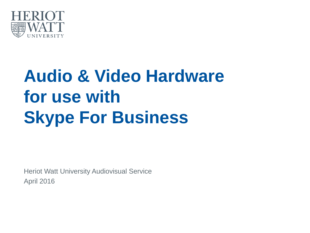

# **Audio & Video Hardware for use with Skype For Business**

Heriot Watt University Audiovisual Service April 2016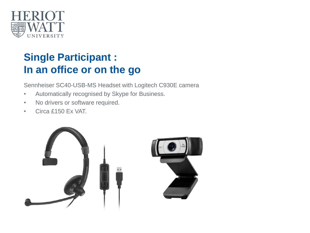

# **Single Participant : In an office or on the go**

Sennheiser SC40-USB-MS Headset with Logitech C930E camera

- Automatically recognised by Skype for Business.
- No drivers or software required.
- Circa £150 Ex VAT.

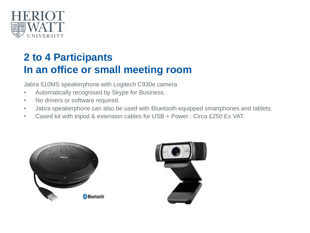

# **2 to 4 Participants In an office or small meeting room**

Jabra 510MS speakerphone with Logitech C930e camera

- Automatically recognised by Skype for Business.
- No drivers or software required.
- Jabra speakerphone can also be used with Bluetooth equipped smartphones and tablets.
- Cased kit with tripod & extension cables for USB + Power : Circa £250 Ex VAT.



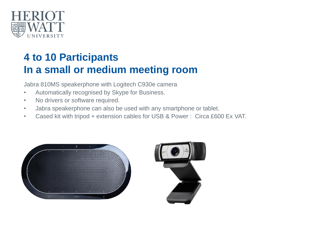

# **4 to 10 Participants In a small or medium meeting room**

Jabra 810MS speakerphone with Logitech C930e camera

- Automatically recognised by Skype for Business.
- No drivers or software required.
- Jabra speakerphone can also be used with any smartphone or tablet.
- Cased kit with tripod + extension cables for USB & Power : Circa £600 Ex VAT.



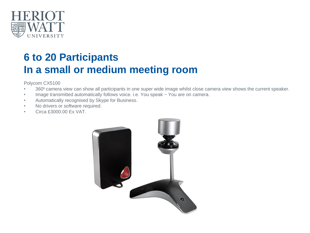

# **6 to 20 Participants In a small or medium meeting room**

Polycom CX5100

- 360° camera view can show all participants in one super wide image whilst close camera view shows the current speaker.
- Image transmitted automatically follows voice. i.e. You speak ~ You are on camera.
- Automatically recognised by Skype for Business.
- No drivers or software required.
- Circa £3000.00 Ex VAT.

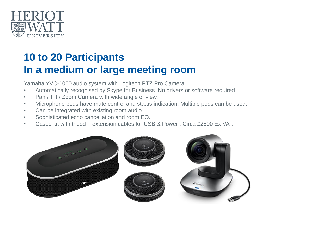

# **10 to 20 Participants In a medium or large meeting room**

Yamaha YVC-1000 audio system with Logitech PTZ Pro Camera

- Automatically recognised by Skype for Business. No drivers or software required.
- Pan / Tilt / Zoom Camera with wide angle of view.
- Microphone pods have mute control and status indication. Multiple pods can be used.
- Can be integrated with existing room audio.
- Sophisticated echo cancellation and room EQ.
- Cased kit with tripod + extension cables for USB & Power : Circa £2500 Ex VAT.